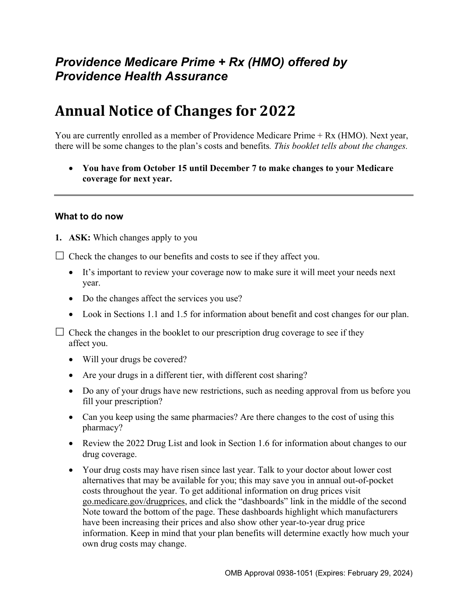# *Providence Medicare Prime + Rx (HMO) offered by Providence Health Assurance*

# **Annual Notice of Changes for 2022**

You are currently enrolled as a member of Providence Medicare Prime + Rx (HMO). Next year, there will be some changes to the plan's costs and benefits*. This booklet tells about the changes.* 

 **You have from October 15 until December 7 to make changes to your Medicare coverage for next year.** 

#### **What to do now**

**1. ASK:** Which changes apply to you

 $\Box$  Check the changes to our benefits and costs to see if they affect you.

- It's important to review your coverage now to make sure it will meet your needs next year.
- Do the changes affect the services you use?
- Look in Sections 1.1 and 1.5 for information about benefit and cost changes for our plan.

 $\Box$  Check the changes in the booklet to our prescription drug coverage to see if they affect you.

- Will your drugs be covered?
- Are your drugs in a different tier, with different cost sharing?
- Do any of your drugs have new restrictions, such as needing approval from us before you fill your prescription?
- Can you keep using the same pharmacies? Are there changes to the cost of using this pharmacy?
- Review the 2022 Drug List and look in Section 1.6 for information about changes to our drug coverage.
- Your drug costs may have risen since last year. Talk to your doctor about lower cost alternatives that may be available for you; this may save you in annual out-of-pocket costs throughout the year. To get additional information on drug prices visit [go.medicare.gov/drugprices,](https://go.medicare.gov/drugprices) and click the "dashboards" link in the middle of the second Note toward the bottom of the page. These dashboards highlight which manufacturers have been increasing their prices and also show other year-to-year drug price information. Keep in mind that your plan benefits will determine exactly how much your own drug costs may change.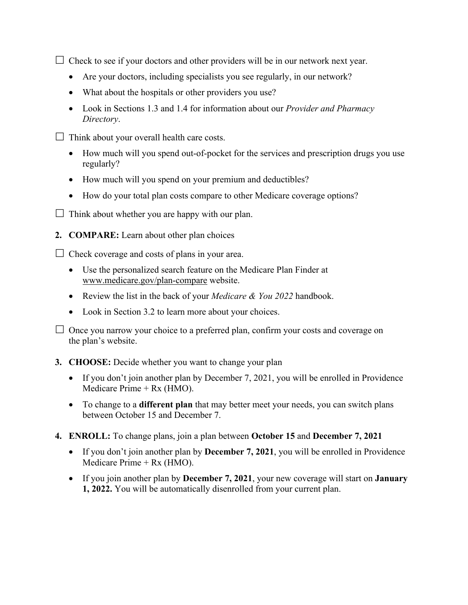$\Box$  Check to see if your doctors and other providers will be in our network next year.

- Are your doctors, including specialists you see regularly, in our network?
- What about the hospitals or other providers you use?
- Look in Sections 1.3 and 1.4 for information about our *Provider and Pharmacy Directory*.
- $\Box$  Think about your overall health care costs.
	- How much will you spend out-of-pocket for the services and prescription drugs you use regularly?
	- How much will you spend on your premium and deductibles?
	- How do your total plan costs compare to other Medicare coverage options?
- $\Box$  Think about whether you are happy with our plan.
- **2. COMPARE:** Learn about other plan choices

 $\Box$  Check coverage and costs of plans in your area.

- Use the personalized search feature on the Medicare Plan Finder at [www.medicare.gov/plan-compare](http://www.medicare.gov/plan-compare) website.
- Review the list in the back of your *Medicare & You 2022* handbook.
- Look in Section 3.2 to learn more about your choices.

 $\Box$  Once you narrow your choice to a preferred plan, confirm your costs and coverage on the plan's website.

#### **3. CHOOSE:** Decide whether you want to change your plan

- If you don't join another plan by December 7, 2021, you will be enrolled in Providence Medicare Prime + Rx (HMO).
- To change to a **different plan** that may better meet your needs, you can switch plans between October 15 and December 7.
- **4. ENROLL:** To change plans, join a plan between **October 15** and **December 7, 2021** 
	- If you don't join another plan by **December 7, 2021**, you will be enrolled in Providence Medicare Prime + Rx (HMO).
	- If you join another plan by **December 7, 2021**, your new coverage will start on **January 1, 2022.** You will be automatically disenrolled from your current plan.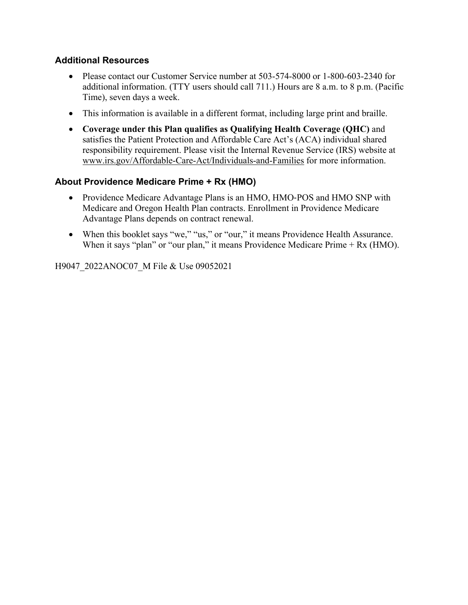#### **Additional Resources**

- Please contact our Customer Service number at 503-574-8000 or 1-800-603-2340 for additional information. (TTY users should call 711.) Hours are 8 a.m. to 8 p.m. (Pacific Time), seven days a week.
- This information is available in a different format, including large print and braille.
- **Coverage under this Plan qualifies as Qualifying Health Coverage (QHC)** and satisfies the Patient Protection and Affordable Care Act's (ACA) individual shared responsibility requirement. Please visit the Internal Revenue Service (IRS) website at [www.irs.gov/Affordable-Care-Act/Individuals-and-Families](http://www.irs.gov/Affordable-Care-Act/Individuals-and-Families) for more information.

### **About Providence Medicare Prime + Rx (HMO)**

- Providence Medicare Advantage Plans is an HMO, HMO-POS and HMO SNP with Medicare and Oregon Health Plan contracts. Enrollment in Providence Medicare Advantage Plans depends on contract renewal.
- When this booklet says "we," "us," or "our," it means Providence Health Assurance. When it says "plan" or "our plan," it means Providence Medicare Prime + Rx (HMO).

H9047\_2022ANOC07\_M File & Use 09052021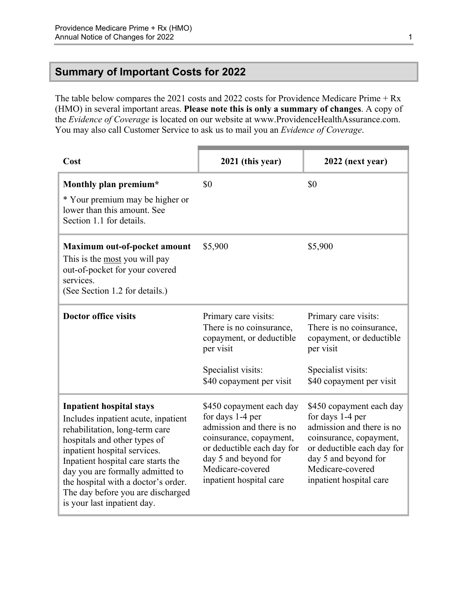### <span id="page-3-0"></span>**Summary of Important Costs for 2022**

The table below compares the 2021 costs and 2022 costs for Providence Medicare Prime + Rx (HMO) in several important areas. **Please note this is only a summary of changes**. A copy of the *Evidence of Coverage* is located on our website at [www.ProvidenceHealthAssurance.com](http://www.ProvidenceHealthAssurance.com). You may also call Customer Service to ask us to mail you an *Evidence of Coverage*.

| Cost                                                                                                                                                                                                                                                                                                                                                          | 2021 (this year)                                                                                                                                                                                          | 2022 (next year)                                                                                                                                                                                          |
|---------------------------------------------------------------------------------------------------------------------------------------------------------------------------------------------------------------------------------------------------------------------------------------------------------------------------------------------------------------|-----------------------------------------------------------------------------------------------------------------------------------------------------------------------------------------------------------|-----------------------------------------------------------------------------------------------------------------------------------------------------------------------------------------------------------|
| Monthly plan premium*<br>* Your premium may be higher or<br>lower than this amount. See<br>Section 1.1 for details.                                                                                                                                                                                                                                           | \$0                                                                                                                                                                                                       | \$0                                                                                                                                                                                                       |
| Maximum out-of-pocket amount<br>This is the most you will pay<br>out-of-pocket for your covered<br>services.<br>(See Section 1.2 for details.)                                                                                                                                                                                                                | \$5,900                                                                                                                                                                                                   | \$5,900                                                                                                                                                                                                   |
| <b>Doctor office visits</b>                                                                                                                                                                                                                                                                                                                                   | Primary care visits:<br>There is no coinsurance,<br>copayment, or deductible<br>per visit<br>Specialist visits:<br>\$40 copayment per visit                                                               | Primary care visits:<br>There is no coinsurance,<br>copayment, or deductible<br>per visit<br>Specialist visits:<br>\$40 copayment per visit                                                               |
| <b>Inpatient hospital stays</b><br>Includes inpatient acute, inpatient<br>rehabilitation, long-term care<br>hospitals and other types of<br>inpatient hospital services.<br>Inpatient hospital care starts the<br>day you are formally admitted to<br>the hospital with a doctor's order.<br>The day before you are discharged<br>is your last inpatient day. | \$450 copayment each day<br>for days 1-4 per<br>admission and there is no<br>coinsurance, copayment,<br>or deductible each day for<br>day 5 and beyond for<br>Medicare-covered<br>inpatient hospital care | \$450 copayment each day<br>for days 1-4 per<br>admission and there is no<br>coinsurance, copayment,<br>or deductible each day for<br>day 5 and beyond for<br>Medicare-covered<br>inpatient hospital care |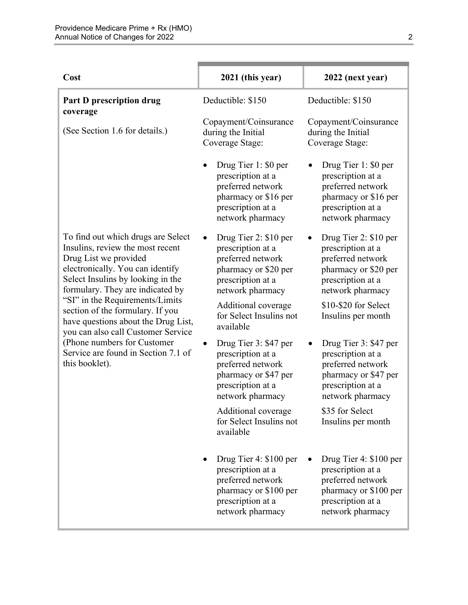| Cost                                                                                                                                                                                                                                                                                                                       | 2021 (this year)                                                                                                                   | 2022 (next year)                                                                                                                   |
|----------------------------------------------------------------------------------------------------------------------------------------------------------------------------------------------------------------------------------------------------------------------------------------------------------------------------|------------------------------------------------------------------------------------------------------------------------------------|------------------------------------------------------------------------------------------------------------------------------------|
| Part D prescription drug                                                                                                                                                                                                                                                                                                   | Deductible: \$150                                                                                                                  | Deductible: \$150                                                                                                                  |
| coverage<br>(See Section 1.6 for details.)                                                                                                                                                                                                                                                                                 | Copayment/Coinsurance<br>during the Initial<br>Coverage Stage:                                                                     | Copayment/Coinsurance<br>during the Initial<br>Coverage Stage:                                                                     |
|                                                                                                                                                                                                                                                                                                                            | Drug Tier 1: \$0 per<br>prescription at a<br>preferred network<br>pharmacy or \$16 per<br>prescription at a<br>network pharmacy    | Drug Tier 1: \$0 per<br>prescription at a<br>preferred network<br>pharmacy or \$16 per<br>prescription at a<br>network pharmacy    |
| To find out which drugs are Select<br>Insulins, review the most recent<br>Drug List we provided<br>electronically. You can identify<br>Select Insulins by looking in the<br>formulary. They are indicated by<br>"SI" in the Requirements/Limits<br>section of the formulary. If you<br>have questions about the Drug List, | Drug Tier 2: \$10 per<br>prescription at a<br>preferred network<br>pharmacy or \$20 per<br>prescription at a<br>network pharmacy   | Drug Tier 2: \$10 per<br>prescription at a<br>preferred network<br>pharmacy or \$20 per<br>prescription at a<br>network pharmacy   |
|                                                                                                                                                                                                                                                                                                                            | Additional coverage<br>for Select Insulins not<br>available                                                                        | \$10-\$20 for Select<br>Insulins per month                                                                                         |
| you can also call Customer Service<br>(Phone numbers for Customer<br>Service are found in Section 7.1 of<br>this booklet).                                                                                                                                                                                                 | Drug Tier 3: \$47 per<br>prescription at a<br>preferred network<br>pharmacy or \$47 per<br>prescription at a<br>network pharmacy   | Drug Tier 3: \$47 per<br>prescription at a<br>preferred network<br>pharmacy or \$47 per<br>prescription at a<br>network pharmacy   |
|                                                                                                                                                                                                                                                                                                                            | Additional coverage<br>for Select Insulins not<br>available                                                                        | \$35 for Select<br>Insulins per month                                                                                              |
|                                                                                                                                                                                                                                                                                                                            | Drug Tier 4: \$100 per<br>prescription at a<br>preferred network<br>pharmacy or \$100 per<br>prescription at a<br>network pharmacy | Drug Tier 4: \$100 per<br>prescription at a<br>preferred network<br>pharmacy or \$100 per<br>prescription at a<br>network pharmacy |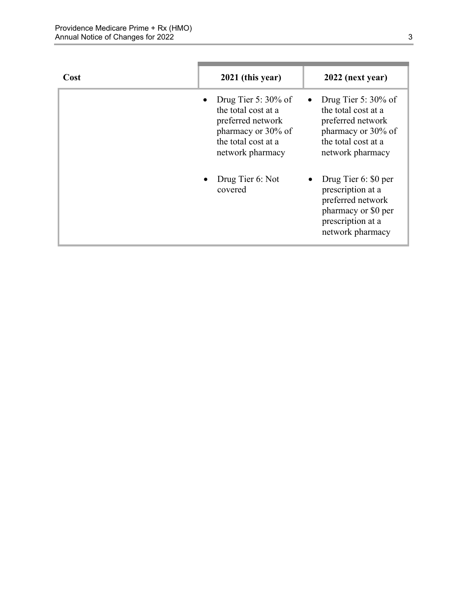| Cost | 2021 (this year)                                                                                                                                 | 2022 (next year)                                                                                                                    |
|------|--------------------------------------------------------------------------------------------------------------------------------------------------|-------------------------------------------------------------------------------------------------------------------------------------|
|      | Drug Tier 5: $30\%$ of<br>$\bullet$<br>the total cost at a<br>preferred network<br>pharmacy or 30% of<br>the total cost at a<br>network pharmacy | Drug Tier 5: $30\%$ of<br>the total cost at a<br>preferred network<br>pharmacy or 30% of<br>the total cost at a<br>network pharmacy |
|      | Drug Tier 6: Not<br>covered                                                                                                                      | Drug Tier 6: \$0 per<br>prescription at a<br>preferred network<br>pharmacy or \$0 per<br>prescription at a<br>network pharmacy      |

п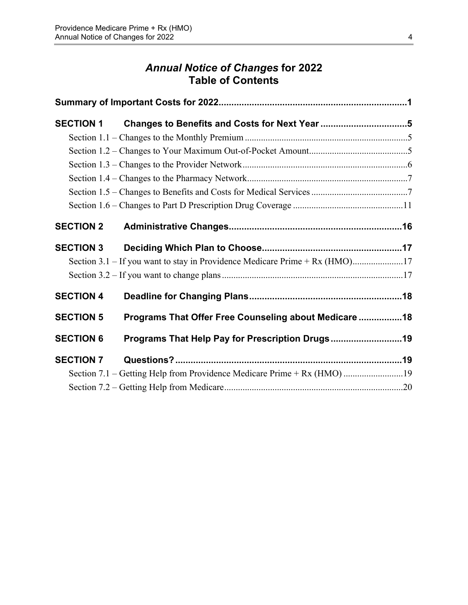# *Annual Notice of Changes* **for 2022 Table of Contents**

| <b>SECTION 1</b> |                                                                             |  |
|------------------|-----------------------------------------------------------------------------|--|
|                  |                                                                             |  |
|                  |                                                                             |  |
|                  |                                                                             |  |
|                  |                                                                             |  |
|                  |                                                                             |  |
|                  |                                                                             |  |
| <b>SECTION 2</b> |                                                                             |  |
| <b>SECTION 3</b> |                                                                             |  |
|                  | Section 3.1 – If you want to stay in Providence Medicare Prime + Rx (HMO)17 |  |
|                  |                                                                             |  |
| <b>SECTION 4</b> |                                                                             |  |
| <b>SECTION 5</b> | Programs That Offer Free Counseling about Medicare  18                      |  |
| <b>SECTION 6</b> | Programs That Help Pay for Prescription Drugs19                             |  |
| <b>SECTION 7</b> |                                                                             |  |
|                  | Section 7.1 – Getting Help from Providence Medicare Prime + Rx (HMO) 19     |  |
|                  |                                                                             |  |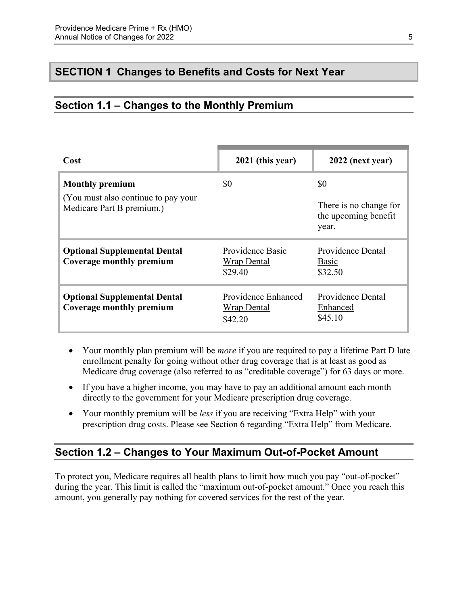### <span id="page-7-0"></span>**SECTION 1 Changes to Benefits and Costs for Next Year**

### <span id="page-7-1"></span>**Section 1.1 – Changes to the Monthly Premium**

| Cost                                                                                        | 2021 (this year)                                     | 2022 (next year)                                               |
|---------------------------------------------------------------------------------------------|------------------------------------------------------|----------------------------------------------------------------|
| <b>Monthly premium</b><br>(You must also continue to pay your)<br>Medicare Part B premium.) | \$0                                                  | \$0<br>There is no change for<br>the upcoming benefit<br>year. |
| <b>Optional Supplemental Dental</b><br>Coverage monthly premium                             | Providence Basic<br><b>Wrap Dental</b><br>\$29.40    | Providence Dental<br>Basic<br>\$32.50                          |
| <b>Optional Supplemental Dental</b><br>Coverage monthly premium                             | Providence Enhanced<br><b>Wrap Dental</b><br>\$42.20 | Providence Dental<br>Enhanced<br>\$45.10                       |

- Your monthly plan premium will be *more* if you are required to pay a lifetime Part D late enrollment penalty for going without other drug coverage that is at least as good as Medicare drug coverage (also referred to as "creditable coverage") for 63 days or more.
- If you have a higher income, you may have to pay an additional amount each month directly to the government for your Medicare prescription drug coverage.
- Your monthly premium will be *less* if you are receiving "Extra Help" with your prescription drug costs. Please see Section 6 regarding "Extra Help" from Medicare.

### <span id="page-7-2"></span>**Section 1.2 – Changes to Your Maximum Out-of-Pocket Amount**

 amount, you generally pay nothing for covered services for the rest of the year. To protect you, Medicare requires all health plans to limit how much you pay "out-of-pocket" during the year. This limit is called the "maximum out-of-pocket amount." Once you reach this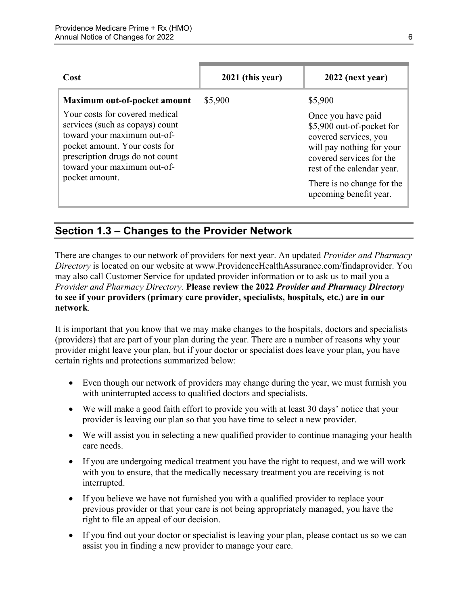| Cost                                                                                                                                                                                                                  | 2021 (this year) | 2022 (next year)                                                                                                                                                                                                        |
|-----------------------------------------------------------------------------------------------------------------------------------------------------------------------------------------------------------------------|------------------|-------------------------------------------------------------------------------------------------------------------------------------------------------------------------------------------------------------------------|
| Maximum out-of-pocket amount                                                                                                                                                                                          | \$5,900          | \$5,900                                                                                                                                                                                                                 |
| Your costs for covered medical<br>services (such as copays) count<br>toward your maximum out-of-<br>pocket amount. Your costs for<br>prescription drugs do not count<br>toward your maximum out-of-<br>pocket amount. |                  | Once you have paid<br>\$5,900 out-of-pocket for<br>covered services, you<br>will pay nothing for your<br>covered services for the<br>rest of the calendar year.<br>There is no change for the<br>upcoming benefit year. |

### <span id="page-8-0"></span>**Section 1.3 – Changes to the Provider Network**

 **to see if your providers (primary care provider, specialists, hospitals, etc.) are in our**  There are changes to our network of providers for next year. An updated *Provider and Pharmacy Directory* is located on our website at [www.ProvidenceHealthAssurance.com/findaprovider.](http://www.ProvidenceHealthAssurance.com/findaprovider) You may also call Customer Service for updated provider information or to ask us to mail you a *Provider and Pharmacy Directory*. **Please review the 2022** *Provider and Pharmacy Directory*  **network**.

It is important that you know that we may make changes to the hospitals, doctors and specialists (providers) that are part of your plan during the year. There are a number of reasons why your provider might leave your plan, but if your doctor or specialist does leave your plan, you have certain rights and protections summarized below:

- Even though our network of providers may change during the year, we must furnish you with uninterrupted access to qualified doctors and specialists.
- We will make a good faith effort to provide you with at least 30 days' notice that your provider is leaving our plan so that you have time to select a new provider.
- We will assist you in selecting a new qualified provider to continue managing your health care needs.
- If you are undergoing medical treatment you have the right to request, and we will work with you to ensure, that the medically necessary treatment you are receiving is not interrupted.
- If you believe we have not furnished you with a qualified provider to replace your previous provider or that your care is not being appropriately managed, you have the right to file an appeal of our decision.
- If you find out your doctor or specialist is leaving your plan, please contact us so we can assist you in finding a new provider to manage your care.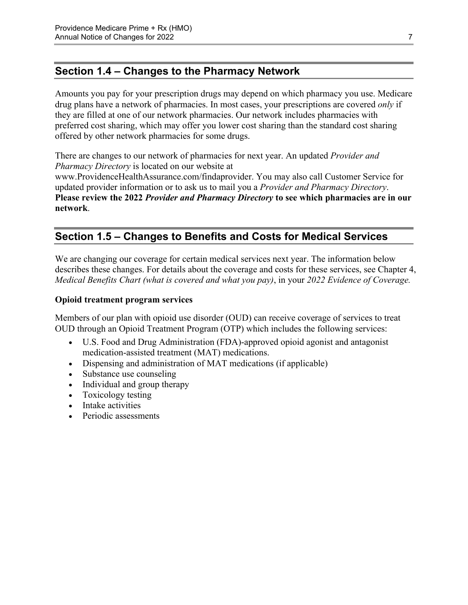# <span id="page-9-0"></span>**Section 1.4 – Changes to the Pharmacy Network**

Amounts you pay for your prescription drugs may depend on which pharmacy you use. Medicare drug plans have a network of pharmacies. In most cases, your prescriptions are covered *only* if they are filled at one of our network pharmacies. Our network includes pharmacies with preferred cost sharing, which may offer you lower cost sharing than the standard cost sharing offered by other network pharmacies for some drugs.

There are changes to our network of pharmacies for next year. An updated *Provider and Pharmacy Directory* is located on our website at [www.ProvidenceHealthAssurance.com/findaprovider](http://www.ProvidenceHealthAssurance.com/findaprovider). You may also call Customer Service for updated provider information or to ask us to mail you a *Provider and Pharmacy Directory*. **Please review the 2022** *Provider and Pharmacy Directory* **to see which pharmacies are in our** 

<span id="page-9-1"></span>**network**.

# **Section 1.5 – Changes to Benefits and Costs for Medical Services**

We are changing our coverage for certain medical services next year. The information below describes these changes. For details about the coverage and costs for these services, see Chapter 4, *Medical Benefits Chart (what is covered and what you pay)*, in your *2022 Evidence of Coverage.* 

#### **Opioid treatment program services**

Members of our plan with opioid use disorder (OUD) can receive coverage of services to treat OUD through an Opioid Treatment Program (OTP) which includes the following services:

- U.S. Food and Drug Administration (FDA)-approved opioid agonist and antagonist medication-assisted treatment (MAT) medications.
- Dispensing and administration of MAT medications (if applicable)
- Substance use counseling
- Individual and group therapy
- Toxicology testing
- Intake activities
- Periodic assessments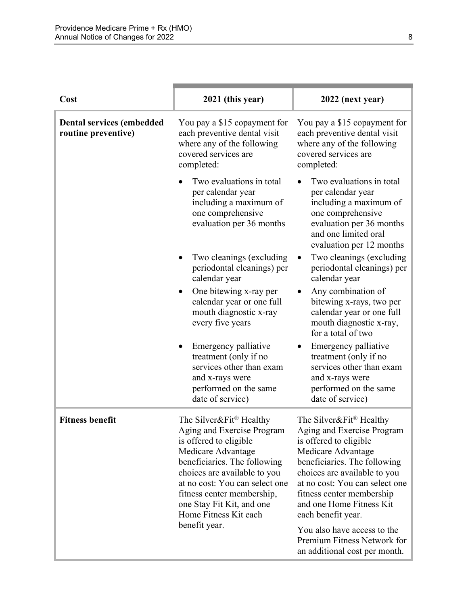| Cost                                                    | 2021 (this year)                                                                                                                                                                                                                                                                                                         | 2022 (next year)                                                                                                                                                                                                                                                                       |
|---------------------------------------------------------|--------------------------------------------------------------------------------------------------------------------------------------------------------------------------------------------------------------------------------------------------------------------------------------------------------------------------|----------------------------------------------------------------------------------------------------------------------------------------------------------------------------------------------------------------------------------------------------------------------------------------|
| <b>Dental services (embedded</b><br>routine preventive) | You pay a \$15 copayment for<br>each preventive dental visit<br>where any of the following<br>covered services are<br>completed:                                                                                                                                                                                         | You pay a \$15 copayment for<br>each preventive dental visit<br>where any of the following<br>covered services are<br>completed:                                                                                                                                                       |
|                                                         | Two evaluations in total<br>per calendar year<br>including a maximum of<br>one comprehensive<br>evaluation per 36 months                                                                                                                                                                                                 | Two evaluations in total<br>per calendar year<br>including a maximum of<br>one comprehensive<br>evaluation per 36 months<br>and one limited oral<br>evaluation per 12 months                                                                                                           |
|                                                         | Two cleanings (excluding<br>periodontal cleanings) per<br>calendar year                                                                                                                                                                                                                                                  | Two cleanings (excluding<br>٠<br>periodontal cleanings) per<br>calendar year                                                                                                                                                                                                           |
|                                                         | One bitewing x-ray per<br>calendar year or one full<br>mouth diagnostic x-ray<br>every five years                                                                                                                                                                                                                        | Any combination of<br>bitewing x-rays, two per<br>calendar year or one full<br>mouth diagnostic x-ray,<br>for a total of two                                                                                                                                                           |
|                                                         | Emergency palliative<br>treatment (only if no<br>services other than exam<br>and x-rays were<br>performed on the same<br>date of service)                                                                                                                                                                                | Emergency palliative<br>treatment (only if no<br>services other than exam<br>and x-rays were<br>performed on the same<br>date of service)                                                                                                                                              |
| <b>Fitness benefit</b>                                  | The Silver&Fit <sup>®</sup> Healthy<br>Aging and Exercise Program<br>is offered to eligible<br>Medicare Advantage<br>beneficiaries. The following<br>choices are available to you<br>at no cost: You can select one<br>fitness center membership,<br>one Stay Fit Kit, and one<br>Home Fitness Kit each<br>benefit year. | The Silver&Fit® Healthy<br>Aging and Exercise Program<br>is offered to eligible<br>Medicare Advantage<br>beneficiaries. The following<br>choices are available to you<br>at no cost: You can select one<br>fitness center membership<br>and one Home Fitness Kit<br>each benefit year. |
|                                                         |                                                                                                                                                                                                                                                                                                                          | You also have access to the<br>Premium Fitness Network for<br>an additional cost per month.                                                                                                                                                                                            |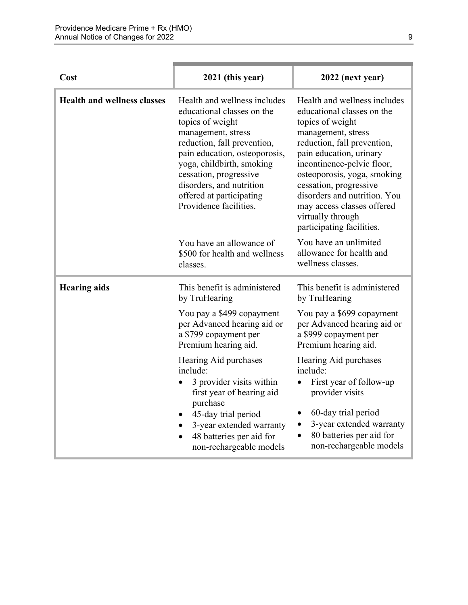| Cost                               | 2021 (this year)                                                                                                                                                                                                                                                                                              | 2022 (next year)                                                                                                                                                                                                                                                                                                                                                      |
|------------------------------------|---------------------------------------------------------------------------------------------------------------------------------------------------------------------------------------------------------------------------------------------------------------------------------------------------------------|-----------------------------------------------------------------------------------------------------------------------------------------------------------------------------------------------------------------------------------------------------------------------------------------------------------------------------------------------------------------------|
| <b>Health and wellness classes</b> | Health and wellness includes<br>educational classes on the<br>topics of weight<br>management, stress<br>reduction, fall prevention,<br>pain education, osteoporosis,<br>yoga, childbirth, smoking<br>cessation, progressive<br>disorders, and nutrition<br>offered at participating<br>Providence facilities. | Health and wellness includes<br>educational classes on the<br>topics of weight<br>management, stress<br>reduction, fall prevention,<br>pain education, urinary<br>incontinence-pelvic floor,<br>osteoporosis, yoga, smoking<br>cessation, progressive<br>disorders and nutrition. You<br>may access classes offered<br>virtually through<br>participating facilities. |
|                                    | You have an allowance of<br>\$500 for health and wellness<br>classes.                                                                                                                                                                                                                                         | You have an unlimited<br>allowance for health and<br>wellness classes.                                                                                                                                                                                                                                                                                                |
| <b>Hearing aids</b>                | This benefit is administered<br>by TruHearing                                                                                                                                                                                                                                                                 | This benefit is administered<br>by TruHearing                                                                                                                                                                                                                                                                                                                         |
|                                    | You pay a \$499 copayment<br>per Advanced hearing aid or<br>a \$799 copayment per<br>Premium hearing aid.                                                                                                                                                                                                     | You pay a \$699 copayment<br>per Advanced hearing aid or<br>a \$999 copayment per<br>Premium hearing aid.                                                                                                                                                                                                                                                             |
|                                    | Hearing Aid purchases<br>include:<br>3 provider visits within<br>first year of hearing aid<br>purchase<br>45-day trial period<br>3-year extended warranty<br>$\bullet$<br>48 batteries per aid for<br>non-rechargeable models                                                                                 | Hearing Aid purchases<br>include:<br>First year of follow-up<br>provider visits<br>60-day trial period<br>3-year extended warranty<br>$\bullet$<br>80 batteries per aid for<br>non-rechargeable models                                                                                                                                                                |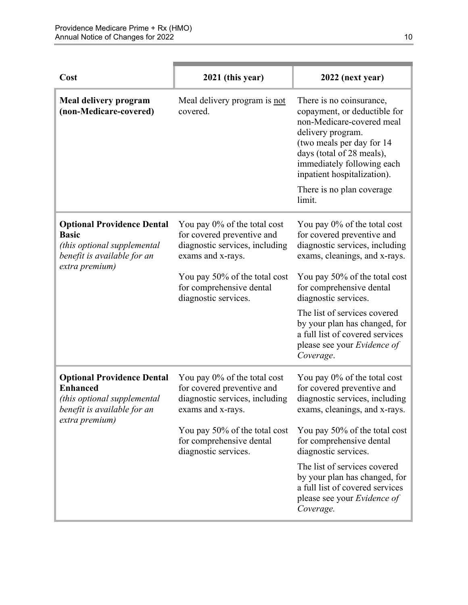| Cost                                                                                                                                 | 2021 (this year)                                                                                                                                                                                       | 2022 (next year)                                                                                                                                                                                                                                                                                                                                                   |
|--------------------------------------------------------------------------------------------------------------------------------------|--------------------------------------------------------------------------------------------------------------------------------------------------------------------------------------------------------|--------------------------------------------------------------------------------------------------------------------------------------------------------------------------------------------------------------------------------------------------------------------------------------------------------------------------------------------------------------------|
| Meal delivery program<br>(non-Medicare-covered)                                                                                      | Meal delivery program is not<br>covered.                                                                                                                                                               | There is no coinsurance,<br>copayment, or deductible for<br>non-Medicare-covered meal<br>delivery program.<br>(two meals per day for 14<br>days (total of 28 meals),<br>immediately following each<br>inpatient hospitalization).<br>There is no plan coverage.<br>limit.                                                                                          |
| <b>Optional Providence Dental</b><br><b>Basic</b><br>(this optional supplemental<br>benefit is available for an<br>extra premium)    | You pay 0% of the total cost<br>for covered preventive and<br>diagnostic services, including<br>exams and x-rays.<br>You pay 50% of the total cost<br>for comprehensive dental<br>diagnostic services. | You pay 0% of the total cost<br>for covered preventive and<br>diagnostic services, including<br>exams, cleanings, and x-rays.<br>You pay 50% of the total cost<br>for comprehensive dental<br>diagnostic services.<br>The list of services covered<br>by your plan has changed, for<br>a full list of covered services<br>please see your Evidence of<br>Coverage. |
| <b>Optional Providence Dental</b><br><b>Enhanced</b><br>(this optional supplemental<br>benefit is available for an<br>extra premium) | You pay 0% of the total cost<br>for covered preventive and<br>diagnostic services, including<br>exams and x-rays.<br>You pay 50% of the total cost<br>for comprehensive dental<br>diagnostic services. | You pay 0% of the total cost<br>for covered preventive and<br>diagnostic services, including<br>exams, cleanings, and x-rays.<br>You pay 50% of the total cost<br>for comprehensive dental<br>diagnostic services.<br>The list of services covered<br>by your plan has changed, for<br>a full list of covered services<br>please see your Evidence of<br>Coverage. |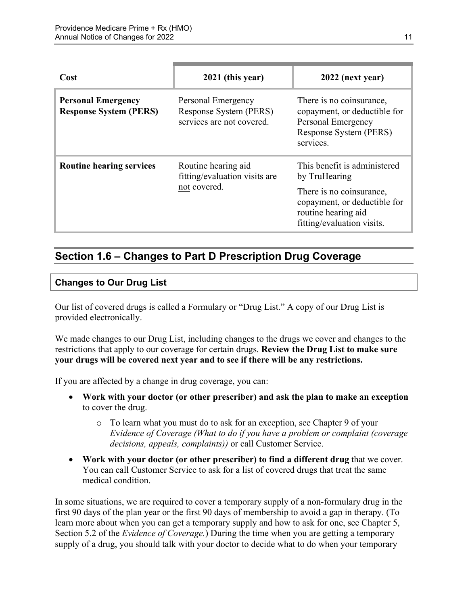| Cost                                                       | 2021 (this year)                                                          | 2022 (next year)                                                                                                                                               |
|------------------------------------------------------------|---------------------------------------------------------------------------|----------------------------------------------------------------------------------------------------------------------------------------------------------------|
| <b>Personal Emergency</b><br><b>Response System (PERS)</b> | Personal Emergency<br>Response System (PERS)<br>services are not covered. | There is no coinsurance,<br>copayment, or deductible for<br>Personal Emergency<br>Response System (PERS)<br>services.                                          |
| <b>Routine hearing services</b>                            | Routine hearing aid<br>fitting/evaluation visits are<br>not covered.      | This benefit is administered<br>by TruHearing<br>There is no coinsurance,<br>copayment, or deductible for<br>routine hearing aid<br>fitting/evaluation visits. |

# <span id="page-13-0"></span>**Section 1.6 – Changes to Part D Prescription Drug Coverage**

#### **Changes to Our Drug List**

Our list of covered drugs is called a Formulary or "Drug List." A copy of our Drug List is provided electronically.

We made changes to our Drug List, including changes to the drugs we cover and changes to the restrictions that apply to our coverage for certain drugs. **Review the Drug List to make sure your drugs will be covered next year and to see if there will be any restrictions.** 

If you are affected by a change in drug coverage, you can:

- **Work with your doctor (or other prescriber) and ask the plan to make an exception**  to cover the drug.
	- o To learn what you must do to ask for an exception, see Chapter 9 of your *E*v*idence of Coverage (What to do if you have a problem or complaint (coverage decisions, appeals, complaints))* or call Customer Service.
- **Work with your doctor (or other prescriber) to find a different drug** that we cover. You can call Customer Service to ask for a list of covered drugs that treat the same medical condition.

 Section 5.2 of the *Evidence of Coverage.*) During the time when you are getting a temporary In some situations, we are required to cover a temporary supply of a non-formulary drug in the first 90 days of the plan year or the first 90 days of membership to avoid a gap in therapy. (To learn more about when you can get a temporary supply and how to ask for one, see Chapter 5, supply of a drug, you should talk with your doctor to decide what to do when your temporary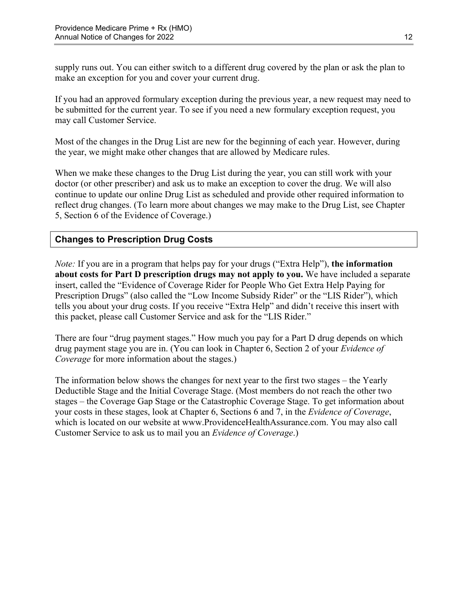supply runs out. You can either switch to a different drug covered by the plan or ask the plan to make an exception for you and cover your current drug.

If you had an approved formulary exception during the previous year, a new request may need to be submitted for the current year. To see if you need a new formulary exception request, you may call Customer Service.

Most of the changes in the Drug List are new for the beginning of each year. However, during the year, we might make other changes that are allowed by Medicare rules.

When we make these changes to the Drug List during the year, you can still work with your doctor (or other prescriber) and ask us to make an exception to cover the drug. We will also continue to update our online Drug List as scheduled and provide other required information to reflect drug changes. (To learn more about changes we may make to the Drug List, see Chapter 5, Section 6 of the Evidence of Coverage.)

### **Changes to Prescription Drug Costs**

*Note:* If you are in a program that helps pay for your drugs ("Extra Help"), **the information about costs for Part D prescription drugs may not apply to you.** We have included a separate insert, called the "Evidence of Coverage Rider for People Who Get Extra Help Paying for Prescription Drugs" (also called the "Low Income Subsidy Rider" or the "LIS Rider"), which tells you about your drug costs. If you receive "Extra Help" and didn't receive this insert with this packet, please call Customer Service and ask for the "LIS Rider."

There are four "drug payment stages." How much you pay for a Part D drug depends on which drug payment stage you are in. (You can look in Chapter 6, Section 2 of your *Evidence of Coverage* for more information about the stages.)

The information below shows the changes for next year to the first two stages – the Yearly Deductible Stage and the Initial Coverage Stage. (Most members do not reach the other two stages – the Coverage Gap Stage or the Catastrophic Coverage Stage. To get information about your costs in these stages, look at Chapter 6, Sections 6 and 7, in the *Evidence of Coverage*, which is located on our website at [www.ProvidenceHealthAssurance.com.](http://www.ProvidenceHealthAssurance.com) You may also call Customer Service to ask us to mail you an *Evidence of Coverage*.)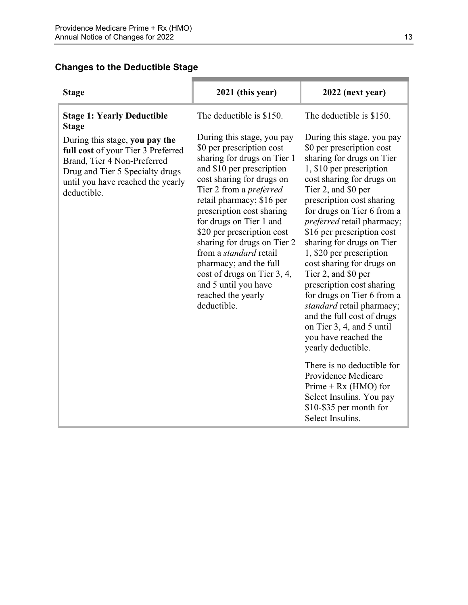### **Changes to the Deductible Stage**

| <b>Stage</b>                                                                                                                                                                               | 2021 (this year)                                                                                                                                                                                                                                                                                                                                                                                                                                                                            | 2022 (next year)                                                                                                                                                                                                                                                                                                                                                                                                                                                                                                                                                                                          |
|--------------------------------------------------------------------------------------------------------------------------------------------------------------------------------------------|---------------------------------------------------------------------------------------------------------------------------------------------------------------------------------------------------------------------------------------------------------------------------------------------------------------------------------------------------------------------------------------------------------------------------------------------------------------------------------------------|-----------------------------------------------------------------------------------------------------------------------------------------------------------------------------------------------------------------------------------------------------------------------------------------------------------------------------------------------------------------------------------------------------------------------------------------------------------------------------------------------------------------------------------------------------------------------------------------------------------|
| <b>Stage 1: Yearly Deductible</b><br><b>Stage</b>                                                                                                                                          | The deductible is \$150.                                                                                                                                                                                                                                                                                                                                                                                                                                                                    | The deductible is \$150.                                                                                                                                                                                                                                                                                                                                                                                                                                                                                                                                                                                  |
| During this stage, you pay the<br>full cost of your Tier 3 Preferred<br>Brand, Tier 4 Non-Preferred<br>Drug and Tier 5 Specialty drugs<br>until you have reached the yearly<br>deductible. | During this stage, you pay<br>\$0 per prescription cost<br>sharing for drugs on Tier 1<br>and \$10 per prescription<br>cost sharing for drugs on<br>Tier 2 from a <i>preferred</i><br>retail pharmacy; \$16 per<br>prescription cost sharing<br>for drugs on Tier 1 and<br>\$20 per prescription cost<br>sharing for drugs on Tier 2<br>from a <i>standard</i> retail<br>pharmacy; and the full<br>cost of drugs on Tier 3, 4,<br>and 5 until you have<br>reached the yearly<br>deductible. | During this stage, you pay<br>\$0 per prescription cost<br>sharing for drugs on Tier<br>1, \$10 per prescription<br>cost sharing for drugs on<br>Tier 2, and \$0 per<br>prescription cost sharing<br>for drugs on Tier 6 from a<br>preferred retail pharmacy;<br>\$16 per prescription cost<br>sharing for drugs on Tier<br>1, \$20 per prescription<br>cost sharing for drugs on<br>Tier 2, and \$0 per<br>prescription cost sharing<br>for drugs on Tier 6 from a<br>standard retail pharmacy;<br>and the full cost of drugs<br>on Tier 3, 4, and 5 until<br>you have reached the<br>yearly deductible. |
|                                                                                                                                                                                            |                                                                                                                                                                                                                                                                                                                                                                                                                                                                                             | There is no deductible for<br>Providence Medicare<br>Prime + $Rx$ (HMO) for<br>Select Insulins. You pay<br>\$10-\$35 per month for<br>Select Insulins.                                                                                                                                                                                                                                                                                                                                                                                                                                                    |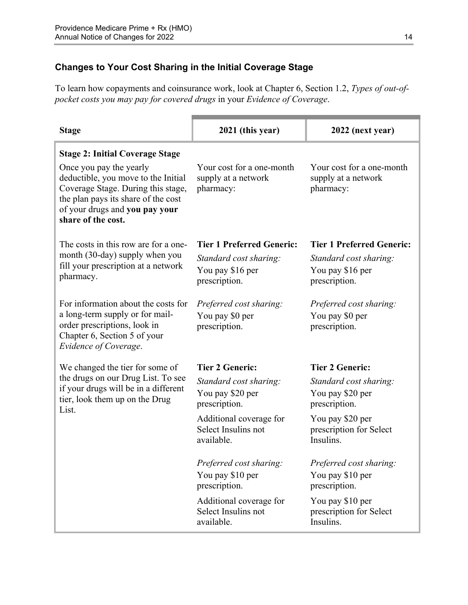### **Changes to Your Cost Sharing in the Initial Coverage Stage**

To learn how copayments and coinsurance work, look at Chapter 6, Section 1.2, *Types of out-ofpocket costs you may pay for covered drugs* in your *Evidence of Coverage*.

| <b>Stage</b>                                                                                                                                                                                        | 2021 (this year)                                                                                                                   | 2022 (next year)                                                                                                                    |
|-----------------------------------------------------------------------------------------------------------------------------------------------------------------------------------------------------|------------------------------------------------------------------------------------------------------------------------------------|-------------------------------------------------------------------------------------------------------------------------------------|
| <b>Stage 2: Initial Coverage Stage</b>                                                                                                                                                              |                                                                                                                                    |                                                                                                                                     |
| Once you pay the yearly<br>deductible, you move to the Initial<br>Coverage Stage. During this stage,<br>the plan pays its share of the cost<br>of your drugs and you pay your<br>share of the cost. | Your cost for a one-month<br>supply at a network<br>pharmacy:                                                                      | Your cost for a one-month<br>supply at a network<br>pharmacy:                                                                       |
| The costs in this row are for a one-                                                                                                                                                                | <b>Tier 1 Preferred Generic:</b>                                                                                                   | <b>Tier 1 Preferred Generic:</b>                                                                                                    |
| month (30-day) supply when you                                                                                                                                                                      | Standard cost sharing:                                                                                                             | Standard cost sharing:                                                                                                              |
|                                                                                                                                                                                                     | You pay \$16 per                                                                                                                   | You pay \$16 per                                                                                                                    |
|                                                                                                                                                                                                     | prescription.                                                                                                                      | prescription.                                                                                                                       |
| For information about the costs for                                                                                                                                                                 | Preferred cost sharing:                                                                                                            | Preferred cost sharing:                                                                                                             |
| a long-term supply or for mail-                                                                                                                                                                     | You pay \$0 per                                                                                                                    | You pay \$0 per                                                                                                                     |
| Chapter 6, Section 5 of your<br>Evidence of Coverage.                                                                                                                                               |                                                                                                                                    |                                                                                                                                     |
| We changed the tier for some of                                                                                                                                                                     | <b>Tier 2 Generic:</b>                                                                                                             | <b>Tier 2 Generic:</b>                                                                                                              |
| the drugs on our Drug List. To see                                                                                                                                                                  | Standard cost sharing:                                                                                                             | Standard cost sharing:                                                                                                              |
| tier, look them up on the Drug                                                                                                                                                                      | You pay \$20 per                                                                                                                   | You pay \$20 per                                                                                                                    |
| List.                                                                                                                                                                                               |                                                                                                                                    |                                                                                                                                     |
|                                                                                                                                                                                                     |                                                                                                                                    |                                                                                                                                     |
|                                                                                                                                                                                                     | available.                                                                                                                         | Insulins.                                                                                                                           |
|                                                                                                                                                                                                     |                                                                                                                                    |                                                                                                                                     |
|                                                                                                                                                                                                     | You pay \$10 per                                                                                                                   | You pay \$10 per                                                                                                                    |
|                                                                                                                                                                                                     | prescription.                                                                                                                      | prescription.                                                                                                                       |
|                                                                                                                                                                                                     | Additional coverage for                                                                                                            | You pay \$10 per                                                                                                                    |
|                                                                                                                                                                                                     | available.                                                                                                                         | Insulins.                                                                                                                           |
| fill your prescription at a network<br>pharmacy.<br>order prescriptions, look in<br>if your drugs will be in a different                                                                            | prescription.<br>prescription.<br>Additional coverage for<br>Select Insulins not<br>Preferred cost sharing:<br>Select Insulins not | prescription.<br>prescription.<br>You pay \$20 per<br>prescription for Select<br>Preferred cost sharing:<br>prescription for Select |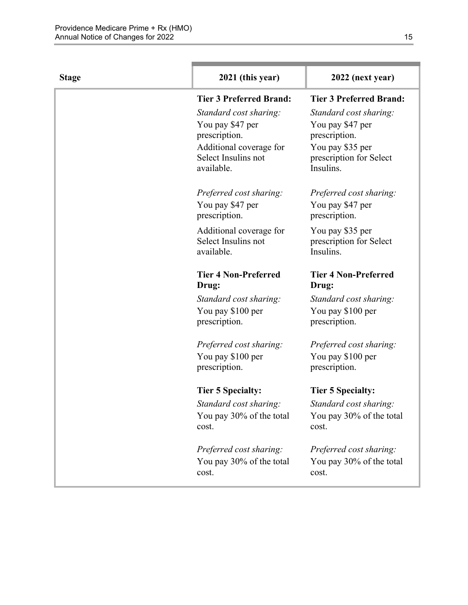| <b>Stage</b> | 2021 (this year)                     | 2022 (next year)                     |
|--------------|--------------------------------------|--------------------------------------|
|              | <b>Tier 3 Preferred Brand:</b>       | <b>Tier 3 Preferred Brand:</b>       |
|              | Standard cost sharing:               | Standard cost sharing:               |
|              | You pay \$47 per                     | You pay \$47 per                     |
|              | prescription.                        | prescription.                        |
|              | Additional coverage for              | You pay \$35 per                     |
|              | Select Insulins not<br>available.    | prescription for Select<br>Insulins. |
|              | Preferred cost sharing:              | Preferred cost sharing:              |
|              | You pay \$47 per<br>prescription.    | You pay \$47 per<br>prescription.    |
|              | Additional coverage for              | You pay \$35 per                     |
|              | Select Insulins not                  | prescription for Select              |
|              | available.                           | Insulins.                            |
|              | <b>Tier 4 Non-Preferred</b><br>Drug: | <b>Tier 4 Non-Preferred</b><br>Drug: |
|              | Standard cost sharing:               | Standard cost sharing:               |
|              | You pay \$100 per                    | You pay \$100 per                    |
|              | prescription.                        | prescription.                        |
|              | Preferred cost sharing:              | Preferred cost sharing:              |
|              | You pay \$100 per                    | You pay \$100 per                    |
|              | prescription.                        | prescription.                        |
|              | <b>Tier 5 Specialty:</b>             | <b>Tier 5 Specialty:</b>             |
|              | Standard cost sharing:               | Standard cost sharing:               |
|              | You pay 30% of the total<br>cost.    | You pay 30% of the total<br>cost.    |
|              | Preferred cost sharing:              | Preferred cost sharing:              |
|              | You pay 30% of the total             | You pay 30% of the total             |
|              | cost.                                | cost.                                |
|              |                                      |                                      |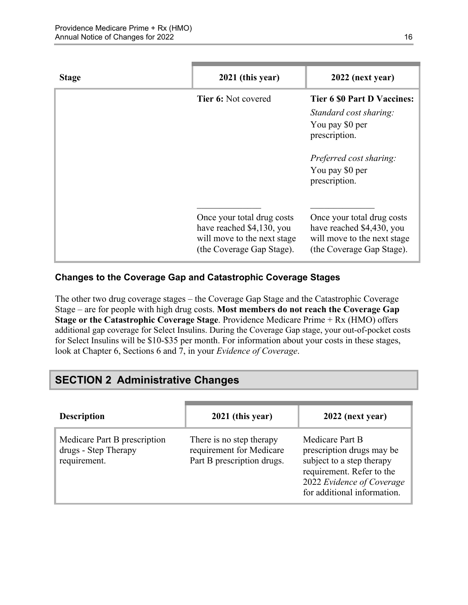| <b>Stage</b> | 2021 (this year)                                                                                                    | 2022 (next year)                                                                                                                                                |
|--------------|---------------------------------------------------------------------------------------------------------------------|-----------------------------------------------------------------------------------------------------------------------------------------------------------------|
|              | <b>Tier 6: Not covered</b>                                                                                          | <b>Tier 6 \$0 Part D Vaccines:</b><br>Standard cost sharing:<br>You pay \$0 per<br>prescription.<br>Preferred cost sharing:<br>You pay \$0 per<br>prescription. |
|              | Once your total drug costs<br>have reached \$4,130, you<br>will move to the next stage<br>(the Coverage Gap Stage). | Once your total drug costs<br>have reached \$4,430, you<br>will move to the next stage<br>(the Coverage Gap Stage).                                             |

### **Changes to the Coverage Gap and Catastrophic Coverage Stages**

The other two drug coverage stages – the Coverage Gap Stage and the Catastrophic Coverage Stage – are for people with high drug costs. **Most members do not reach the Coverage Gap Stage or the Catastrophic Coverage Stage**. Providence Medicare Prime + Rx (HMO) offers additional gap coverage for Select Insulins. During the Coverage Gap stage, your out-of-pocket costs for Select Insulins will be \$10-\$35 per month. For information about your costs in these stages, look at Chapter 6, Sections 6 and 7, in your *Evidence of Coverage*.

# <span id="page-18-0"></span>**SECTION 2 Administrative Changes**

| <b>Description</b>                                                   | 2021 (this year)                                                                   | 2022 (next year)                                                                                                                                                   |
|----------------------------------------------------------------------|------------------------------------------------------------------------------------|--------------------------------------------------------------------------------------------------------------------------------------------------------------------|
| Medicare Part B prescription<br>drugs - Step Therapy<br>requirement. | There is no step therapy<br>requirement for Medicare<br>Part B prescription drugs. | Medicare Part B<br>prescription drugs may be<br>subject to a step therapy<br>requirement. Refer to the<br>2022 Evidence of Coverage<br>for additional information. |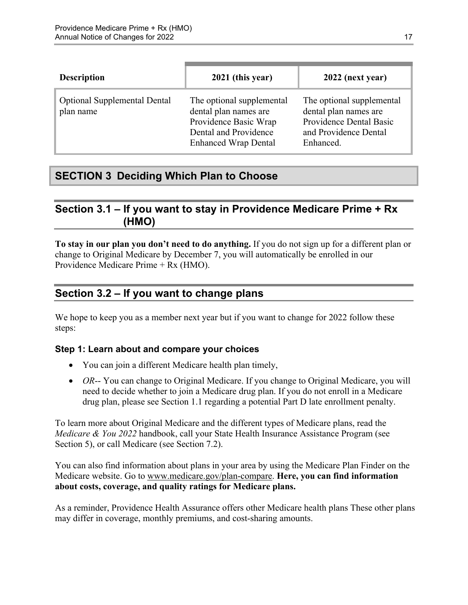| <b>Description</b>                               | 2021 (this year)                                                                                                                    | 2022 (next year)                                                                                                    |
|--------------------------------------------------|-------------------------------------------------------------------------------------------------------------------------------------|---------------------------------------------------------------------------------------------------------------------|
| <b>Optional Supplemental Dental</b><br>plan name | The optional supplemental<br>dental plan names are<br>Providence Basic Wrap<br>Dental and Providence<br><b>Enhanced Wrap Dental</b> | The optional supplemental<br>dental plan names are<br>Providence Dental Basic<br>and Providence Dental<br>Enhanced. |

# <span id="page-19-0"></span>**SECTION 3 Deciding Which Plan to Choose**

### <span id="page-19-1"></span>**Section 3.1 – If you want to stay in Providence Medicare Prime + Rx (HMO)**

**To stay in our plan you don't need to do anything.** If you do not sign up for a different plan or change to Original Medicare by December 7, you will automatically be enrolled in our Providence Medicare Prime + Rx (HMO).

# <span id="page-19-2"></span>**Section 3.2 – If you want to change plans**

We hope to keep you as a member next year but if you want to change for 2022 follow these steps:

### **Step 1: Learn about and compare your choices**

- You can join a different Medicare health plan timely,
- *OR*-- You can change to Original Medicare. If you change to Original Medicare, you will need to decide whether to join a Medicare drug plan. If you do not enroll in a Medicare drug plan, please see Section 1.1 regarding a potential Part D late enrollment penalty.

To learn more about Original Medicare and the different types of Medicare plans, read the *Medicare & You 2022* handbook, call your State Health Insurance Assistance Program (see Section 5), or call Medicare (see Section 7.2).

You can also find information about plans in your area by using the Medicare Plan Finder on the Medicare website. Go to [www.medicare.gov/plan-compare](http://www.medicare.gov/plan-compare). **Here, you can find information about costs, coverage, and quality ratings for Medicare plans.** 

As a reminder, Providence Health Assurance offers other Medicare health plans These other plans may differ in coverage, monthly premiums, and cost-sharing amounts.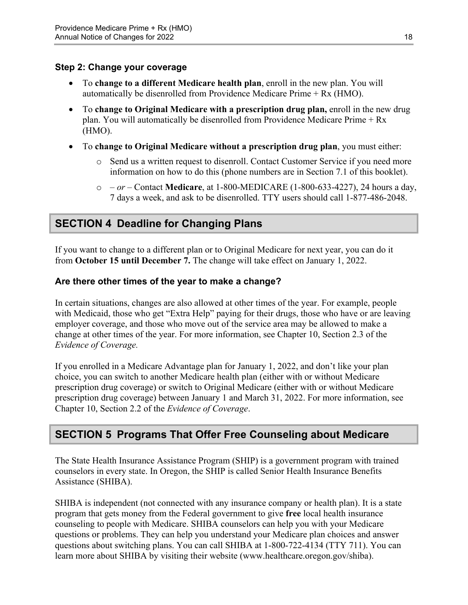#### **Step 2: Change your coverage**

- To **change to a different Medicare health plan**, enroll in the new plan. You will automatically be disenrolled from Providence Medicare Prime + Rx (HMO).
- To **change to Original Medicare with a prescription drug plan,** enroll in the new drug plan. You will automatically be disenrolled from Providence Medicare Prime + Rx (HMO).
- To **change to Original Medicare without a prescription drug plan**, you must either:
	- $\circ$  Send us a written request to disenroll. Contact Customer Service if you need more information on how to do this (phone numbers are in Section 7.1 of this booklet).
	- o  *or –* Contact **Medicare**, at 1-800-MEDICARE (1-800-633-4227), 24 hours a day, 7 days a week, and ask to be disenrolled. TTY users should call 1-877-486-2048.

# <span id="page-20-0"></span>**SECTION 4 Deadline for Changing Plans**

If you want to change to a different plan or to Original Medicare for next year, you can do it from **October 15 until December 7.** The change will take effect on January 1, 2022.

#### **Are there other times of the year to make a change?**

In certain situations, changes are also allowed at other times of the year. For example, people with Medicaid, those who get "Extra Help" paying for their drugs, those who have or are leaving employer coverage, and those who move out of the service area may be allowed to make a change at other times of the year. For more information, see Chapter 10, Section 2.3 of the *Evidence of Coverage.* 

 Chapter 10, Section 2.2 of the *Evidence of Coverage*. If you enrolled in a Medicare Advantage plan for January 1, 2022, and don't like your plan choice, you can switch to another Medicare health plan (either with or without Medicare prescription drug coverage) or switch to Original Medicare (either with or without Medicare prescription drug coverage) between January 1 and March 31, 2022. For more information, see

# <span id="page-20-1"></span>**SECTION 5 Programs That Offer Free Counseling about Medicare**

The State Health Insurance Assistance Program (SHIP) is a government program with trained counselors in every state. In Oregon, the SHIP is called Senior Health Insurance Benefits Assistance (SHIBA).

 SHIBA is independent (not connected with any insurance company or health plan). It is a state program that gets money from the Federal government to give **free** local health insurance counseling to people with Medicare. SHIBA counselors can help you with your Medicare questions or problems. They can help you understand your Medicare plan choices and answer questions about switching plans. You can call SHIBA at 1-800-722-4134 (TTY 711). You can learn more about SHIBA by visiting their website ([www.healthcare.oregon.gov/shiba](http://healthcare.oregon.gov/shiba)).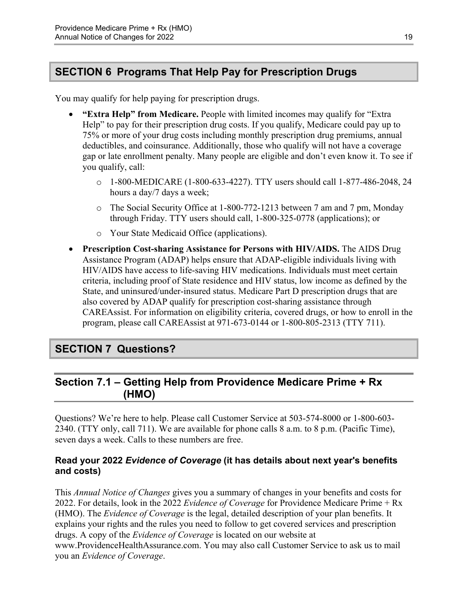# <span id="page-21-0"></span>**SECTION 6 Programs That Help Pay for Prescription Drugs**

You may qualify for help paying for prescription drugs.

- **"Extra Help" from Medicare.** People with limited incomes may qualify for "Extra Help" to pay for their prescription drug costs. If you qualify, Medicare could pay up to 75% or more of your drug costs including monthly prescription drug premiums, annual deductibles, and coinsurance. Additionally, those who qualify will not have a coverage gap or late enrollment penalty. Many people are eligible and don't even know it. To see if you qualify, call:
	- $\circ$  1-800-MEDICARE (1-800-633-4227). TTY users should call 1-877-486-2048, 24 hours a day/7 days a week;
	- $\circ$  The Social Security Office at 1-800-772-1213 between 7 am and 7 pm, Monday through Friday. TTY users should call, 1-800-325-0778 (applications); or
	- o Your State Medicaid Office (applications).
- **Prescription Cost-sharing Assistance for Persons with HIV/AIDS.** The AIDS Drug Assistance Program (ADAP) helps ensure that ADAP-eligible individuals living with HIV/AIDS have access to life-saving HIV medications. Individuals must meet certain criteria, including proof of State residence and HIV status, low income as defined by the State, and uninsured/under-insured status. Medicare Part D prescription drugs that are also covered by ADAP qualify for prescription cost-sharing assistance through CAREAssist. For information on eligibility criteria, covered drugs, or how to enroll in the program, please call CAREAssist at 971-673-0144 or 1-800-805-2313 (TTY 711).

# <span id="page-21-1"></span>**SECTION 7 Questions?**

# <span id="page-21-2"></span>**Section 7.1 – Getting Help from Providence Medicare Prime + Rx (HMO)**

Questions? We're here to help. Please call Customer Service at 503-574-8000 or 1-800-603 2340. (TTY only, call 711). We are available for phone calls 8 a.m. to 8 p.m. (Pacific Time), seven days a week. Calls to these numbers are free.

### **Read your 2022** *Evidence of Coverage* **(it has details about next year's benefits and costs)**

This *Annual Notice of Changes* gives you a summary of changes in your benefits and costs for 2022. For details, look in the 2022 *Evidence of Coverage* for Providence Medicare Prime + Rx (HMO). The *Evidence of Coverage* is the legal, detailed description of your plan benefits. It explains your rights and the rules you need to follow to get covered services and prescription drugs. A copy of the *Evidence of Coverage* is located on our website at [www.ProvidenceHealthAssurance.com.](http://www.ProvidenceHealthAssurance.com) You may also call Customer Service to ask us to mail you an *Evidence of Coverage*.